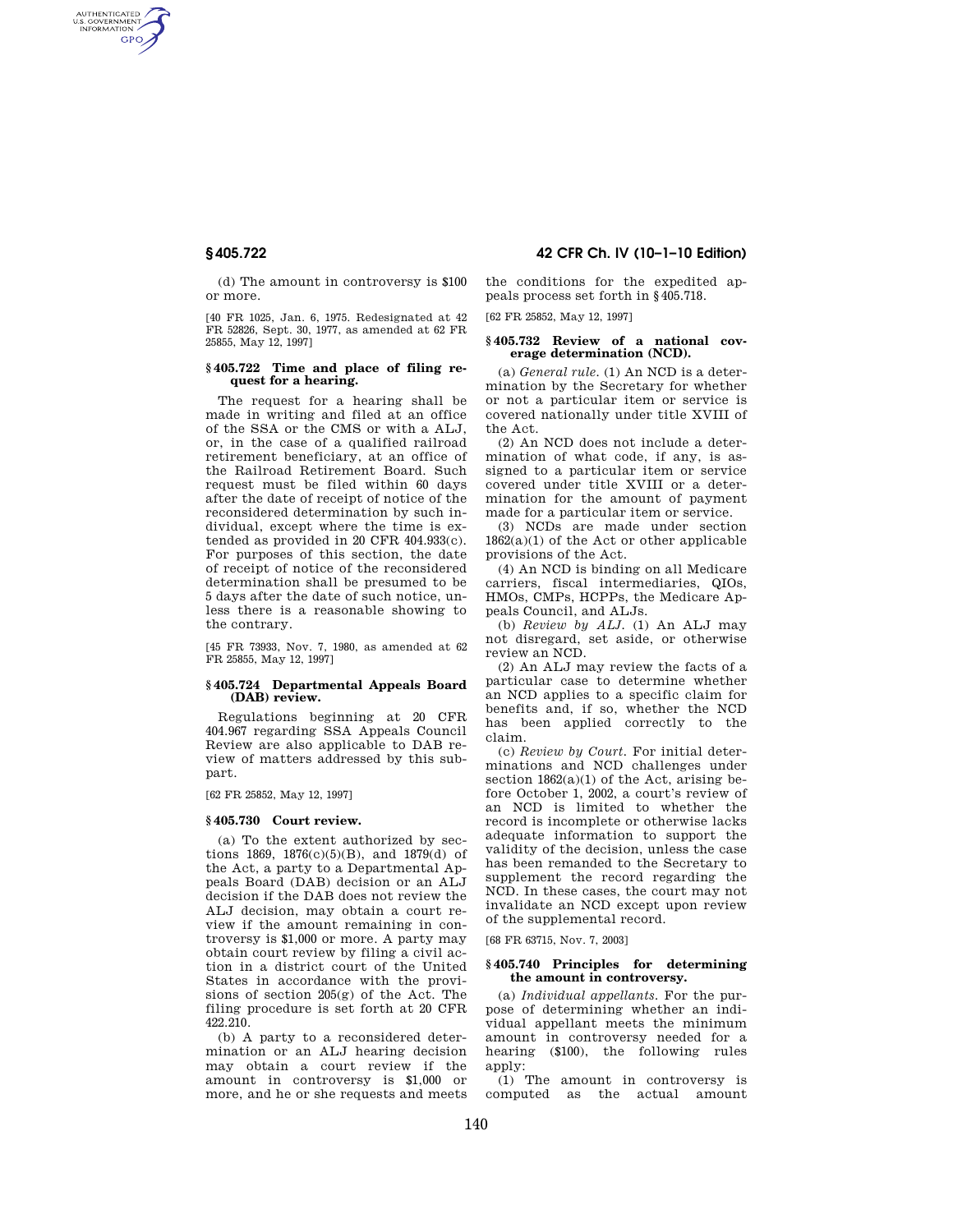AUTHENTICATED<br>U.S. GOVERNMENT<br>INFORMATION **GPO** 

> (d) The amount in controversy is \$100 or more.

> [40 FR 1025, Jan. 6, 1975. Redesignated at 42 FR 52826, Sept. 30, 1977, as amended at 62 FR 25855, May 12, 1997]

## **§ 405.722 Time and place of filing request for a hearing.**

The request for a hearing shall be made in writing and filed at an office of the SSA or the CMS or with a ALJ, or, in the case of a qualified railroad retirement beneficiary, at an office of the Railroad Retirement Board. Such request must be filed within 60 days after the date of receipt of notice of the reconsidered determination by such individual, except where the time is extended as provided in 20 CFR 404.933(c). For purposes of this section, the date of receipt of notice of the reconsidered determination shall be presumed to be 5 days after the date of such notice, unless there is a reasonable showing to the contrary.

[45 FR 73933, Nov. 7, 1980, as amended at 62 FR 25855, May 12, 1997]

#### **§ 405.724 Departmental Appeals Board (DAB) review.**

Regulations beginning at 20 CFR 404.967 regarding SSA Appeals Council Review are also applicable to DAB review of matters addressed by this subpart.

[62 FR 25852, May 12, 1997]

## **§ 405.730 Court review.**

(a) To the extent authorized by sections 1869, 1876(c)(5)(B), and 1879(d) of the Act, a party to a Departmental Appeals Board (DAB) decision or an ALJ decision if the DAB does not review the ALJ decision, may obtain a court review if the amount remaining in controversy is \$1,000 or more. A party may obtain court review by filing a civil action in a district court of the United States in accordance with the provisions of section 205(g) of the Act. The filing procedure is set forth at 20 CFR 422.210.

(b) A party to a reconsidered determination or an ALJ hearing decision may obtain a court review if the amount in controversy is \$1,000 or more, and he or she requests and meets

**§ 405.722 42 CFR Ch. IV (10–1–10 Edition)** 

the conditions for the expedited appeals process set forth in §405.718.

[62 FR 25852, May 12, 1997]

## **§ 405.732 Review of a national coverage determination (NCD).**

(a) *General rule.* (1) An NCD is a determination by the Secretary for whether or not a particular item or service is covered nationally under title XVIII of the Act.

(2) An NCD does not include a determination of what code, if any, is assigned to a particular item or service covered under title XVIII or a determination for the amount of payment made for a particular item or service.

(3) NCDs are made under section  $1862(a)(1)$  of the Act or other applicable provisions of the Act.

(4) An NCD is binding on all Medicare carriers, fiscal intermediaries, QIOs, HMOs, CMPs, HCPPs, the Medicare Appeals Council, and ALJs.

(b) *Review by ALJ.* (1) An ALJ may not disregard, set aside, or otherwise review an NCD.

(2) An ALJ may review the facts of a particular case to determine whether an NCD applies to a specific claim for benefits and, if so, whether the NCD has been applied correctly to the claim.

(c) *Review by Court.* For initial determinations and NCD challenges under section  $1862(a)(1)$  of the Act, arising before October 1, 2002, a court's review of an NCD is limited to whether the record is incomplete or otherwise lacks adequate information to support the validity of the decision, unless the case has been remanded to the Secretary to supplement the record regarding the NCD. In these cases, the court may not invalidate an NCD except upon review of the supplemental record.

[68 FR 63715, Nov. 7, 2003]

## **§ 405.740 Principles for determining the amount in controversy.**

(a) *Individual appellants.* For the purpose of determining whether an individual appellant meets the minimum amount in controversy needed for a hearing (\$100), the following rules apply:

(1) The amount in controversy is computed as the actual amount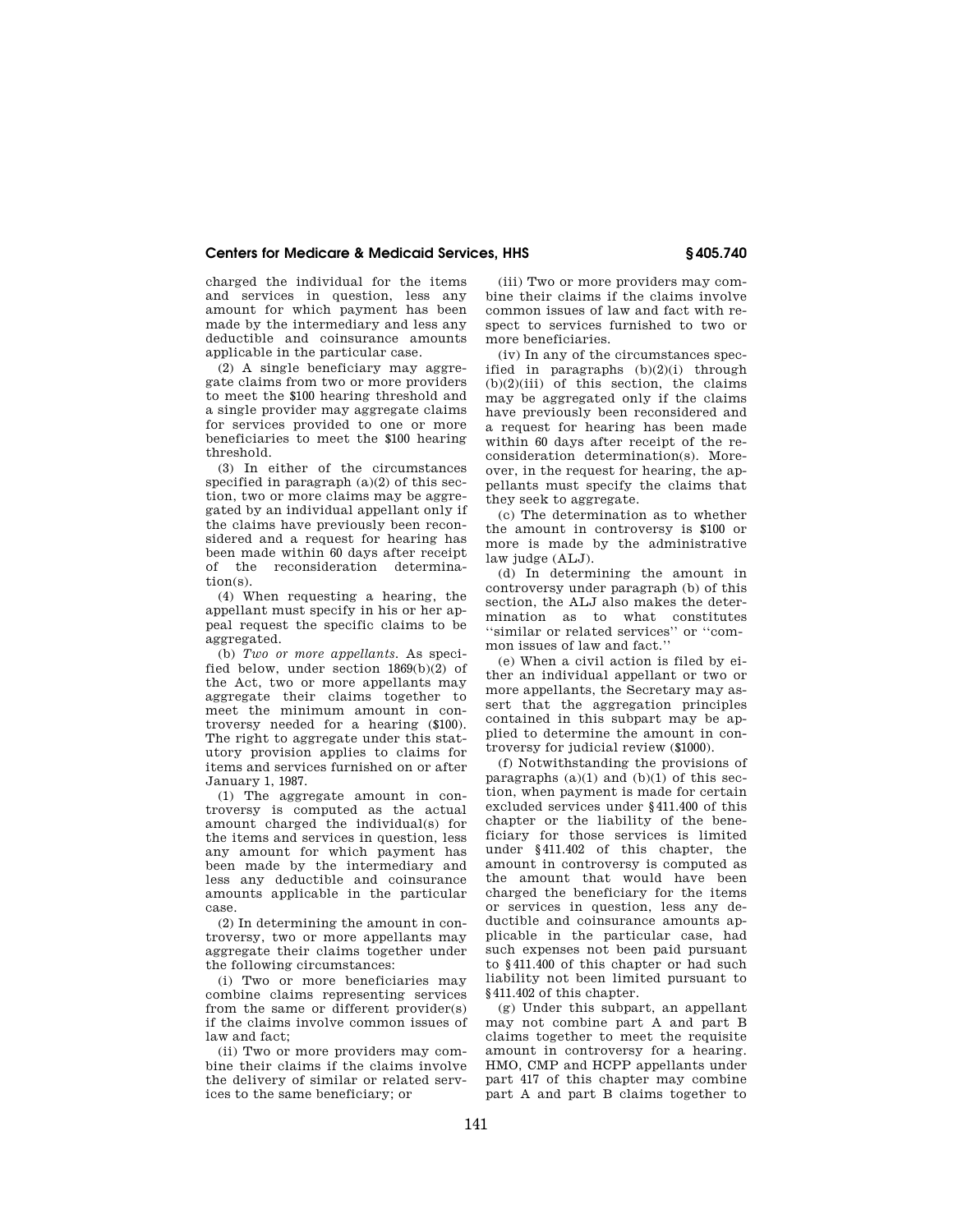# **Centers for Medicare & Medicaid Services, HHS § 405.740**

charged the individual for the items and services in question, less any amount for which payment has been made by the intermediary and less any deductible and coinsurance amounts applicable in the particular case.

(2) A single beneficiary may aggregate claims from two or more providers to meet the \$100 hearing threshold and a single provider may aggregate claims for services provided to one or more beneficiaries to meet the \$100 hearing threshold.

(3) In either of the circumstances specified in paragraph  $(a)(2)$  of this section, two or more claims may be aggregated by an individual appellant only if the claims have previously been reconsidered and a request for hearing has been made within 60 days after receipt of the reconsideration determination(s).

(4) When requesting a hearing, the appellant must specify in his or her appeal request the specific claims to be aggregated.

(b) *Two or more appellants.* As specified below, under section 1869(b)(2) of the Act, two or more appellants may aggregate their claims together to meet the minimum amount in controversy needed for a hearing (\$100). The right to aggregate under this statutory provision applies to claims for items and services furnished on or after January 1, 1987.

(1) The aggregate amount in controversy is computed as the actual amount charged the individual(s) for the items and services in question, less any amount for which payment has been made by the intermediary and less any deductible and coinsurance amounts applicable in the particular case.

(2) In determining the amount in controversy, two or more appellants may aggregate their claims together under the following circumstances:

(i) Two or more beneficiaries may combine claims representing services from the same or different provider(s) if the claims involve common issues of law and fact;

(ii) Two or more providers may combine their claims if the claims involve the delivery of similar or related services to the same beneficiary; or

(iii) Two or more providers may combine their claims if the claims involve common issues of law and fact with respect to services furnished to two or more beneficiaries.

(iv) In any of the circumstances specified in paragraphs (b)(2)(i) through  $(b)(2)(iii)$  of this section, the claims may be aggregated only if the claims have previously been reconsidered and a request for hearing has been made within 60 days after receipt of the reconsideration determination(s). Moreover, in the request for hearing, the appellants must specify the claims that they seek to aggregate.

(c) The determination as to whether the amount in controversy is \$100 or more is made by the administrative law judge (ALJ).

(d) In determining the amount in controversy under paragraph (b) of this section, the ALJ also makes the determination as to what constitutes ''similar or related services'' or ''common issues of law and fact.''

(e) When a civil action is filed by either an individual appellant or two or more appellants, the Secretary may assert that the aggregation principles contained in this subpart may be applied to determine the amount in controversy for judicial review (\$1000).

(f) Notwithstanding the provisions of paragraphs  $(a)(1)$  and  $(b)(1)$  of this section, when payment is made for certain excluded services under §411.400 of this chapter or the liability of the beneficiary for those services is limited under §411.402 of this chapter, the amount in controversy is computed as the amount that would have been charged the beneficiary for the items or services in question, less any deductible and coinsurance amounts applicable in the particular case, had such expenses not been paid pursuant to §411.400 of this chapter or had such liability not been limited pursuant to §411.402 of this chapter.

(g) Under this subpart, an appellant may not combine part A and part B claims together to meet the requisite amount in controversy for a hearing. HMO, CMP and HCPP appellants under part 417 of this chapter may combine part A and part B claims together to